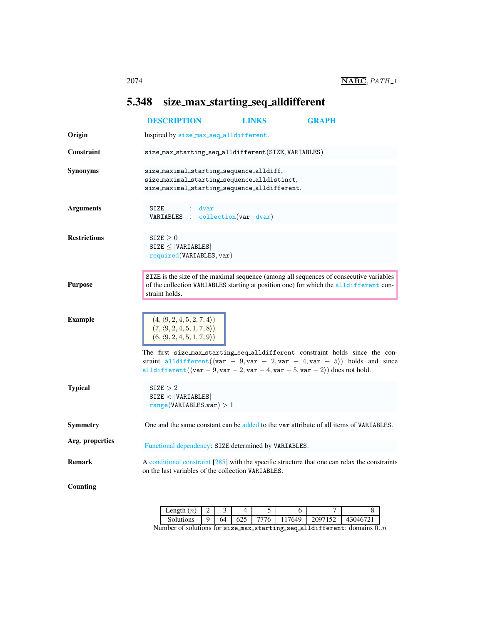## <span id="page-0-0"></span>5.348 size max starting seq alldifferent

|                     | <b>DESCRIPTION</b>                                                                                                                                                                                                                                                                                                                                                                                                                                                                       | <b>LINKS</b> | <b>GRAPH</b> |
|---------------------|------------------------------------------------------------------------------------------------------------------------------------------------------------------------------------------------------------------------------------------------------------------------------------------------------------------------------------------------------------------------------------------------------------------------------------------------------------------------------------------|--------------|--------------|
| Origin              | Inspired by size_max_seq_alldifferent.                                                                                                                                                                                                                                                                                                                                                                                                                                                   |              |              |
| <b>Constraint</b>   | size_max_starting_seq_alldifferent(SIZE, VARIABLES)                                                                                                                                                                                                                                                                                                                                                                                                                                      |              |              |
| <b>Synonyms</b>     | size_maximal_starting_sequence_alldiff,<br>size_maximal_starting_sequence_alldistinct,<br>size_maximal_starting_sequence_alldifferent.                                                                                                                                                                                                                                                                                                                                                   |              |              |
| <b>Arguments</b>    | SIZE<br>: dvar<br>VARIABLES : collection (var-dvar)                                                                                                                                                                                                                                                                                                                                                                                                                                      |              |              |
| <b>Restrictions</b> | SIZE > 0<br>$SIZE \leq  VARIABLES $<br>required(VARIABLES, var)                                                                                                                                                                                                                                                                                                                                                                                                                          |              |              |
| <b>Purpose</b>      | SIZE is the size of the maximal sequence (among all sequences of consecutive variables<br>of the collection VARIABLES starting at position one) for which the alldifferent con-<br>straint holds.                                                                                                                                                                                                                                                                                        |              |              |
| <b>Example</b>      | $(4, \langle 9, 2, 4, 5, 2, 7, 4 \rangle)$<br>$(7, \langle 9, 2, 4, 5, 1, 7, 8 \rangle)$<br>$(6, \langle 9, 2, 4, 5, 1, 7, 9 \rangle)$<br>The first size max starting_seq_alldifferent constraint holds since the con-<br>straint all different ( $\langle \text{var} - 9, \text{var} - 2, \text{var} - 4, \text{var} - 5 \rangle$ ) holds and since<br>alldifferent ( $\langle \text{var} - 9, \text{var} - 2, \text{var} - 4, \text{var} - 5, \text{var} - 2 \rangle$ ) does not hold. |              |              |
| <b>Typical</b>      | $\texttt{SIZE} > 2$<br>SIZE <  VARIABLES <br>range(VARIABLES.var) > 1                                                                                                                                                                                                                                                                                                                                                                                                                    |              |              |
| Symmetry            | One and the same constant can be added to the var attribute of all items of VARIABLES.                                                                                                                                                                                                                                                                                                                                                                                                   |              |              |
| Arg. properties     | Functional dependency: SIZE determined by VARIABLES.                                                                                                                                                                                                                                                                                                                                                                                                                                     |              |              |
| <b>Remark</b>       | A conditional constraint [285] with the specific structure that one can relax the constraints<br>on the last variables of the collection VARIABLES.                                                                                                                                                                                                                                                                                                                                      |              |              |
| <b>Counting</b>     |                                                                                                                                                                                                                                                                                                                                                                                                                                                                                          |              |              |

| $\text{Length}(n)$ |    |     |    |            |         |        |
|--------------------|----|-----|----|------------|---------|--------|
| Solutions          | 64 | 625 | 76 | 7649<br>11 | 2097152 | 430467 |

Number of solutions for size\_max\_starting\_seq\_alldifferent: domains  $0..n$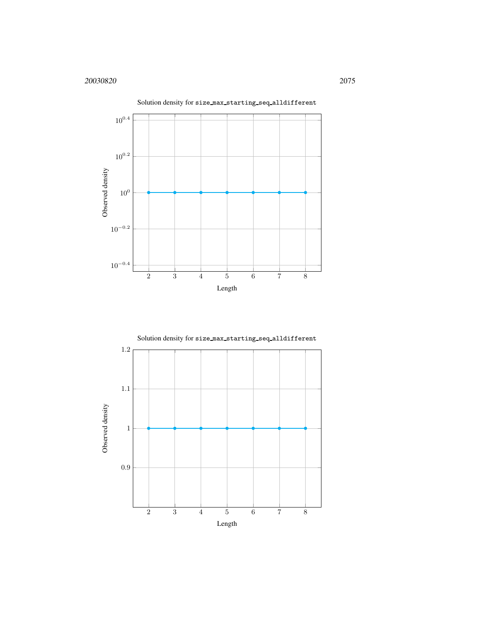

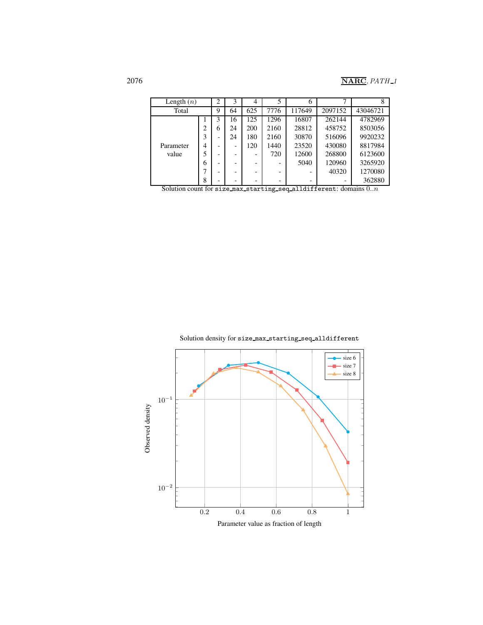## 2076 **NARC**, *PATH*<sub>1</sub>

| Length $(n)$ |   | $\overline{2}$ | 3                        | $\overline{4}$ | 5    | 6      | ┑       | 8        |
|--------------|---|----------------|--------------------------|----------------|------|--------|---------|----------|
| Total        |   | 9              | 64                       | 625            | 7776 | 117649 | 2097152 | 43046721 |
|              |   | 3              | 16                       | 125            | 1296 | 16807  | 262144  | 4782969  |
|              |   | 6              | 24                       | 200            | 2160 | 28812  | 458752  | 8503056  |
|              |   |                | 24                       | 180            | 2160 | 30870  | 516096  | 9920232  |
| Parameter    | 4 |                | $\overline{\phantom{a}}$ | 120            | 1440 | 23520  | 430080  | 8817984  |
| value        |   | -              | $\overline{\phantom{0}}$ |                | 720  | 12600  | 268800  | 6123600  |
|              | 6 |                | $\overline{\phantom{0}}$ |                |      | 5040   | 120960  | 3265920  |
|              |   |                | $\overline{\phantom{0}}$ |                | -    |        | 40320   | 1270080  |
|              | 8 |                | $\overline{\phantom{0}}$ |                | -    | -      |         | 362880   |

Solution count for size max starting seq alldifferent: domains  $0..n$ 

Solution density for size max starting seq alldifferent

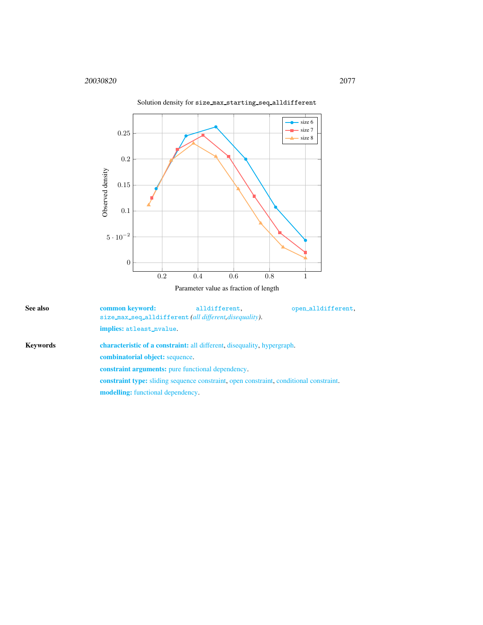

<span id="page-3-0"></span>![](_page_3_Figure_2.jpeg)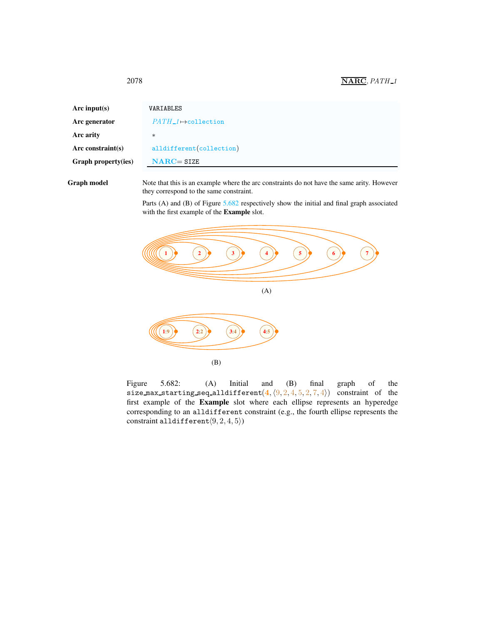## <span id="page-4-0"></span>2078 **NARC**, *PATH*<sub>1</sub>

| Arc input(s)         | VARIABLES                   |  |  |  |  |  |  |  |
|----------------------|-----------------------------|--|--|--|--|--|--|--|
| Arc generator        | $PATH_1 \mapsto$ collection |  |  |  |  |  |  |  |
| Arc arity            | $\ast$                      |  |  |  |  |  |  |  |
| Arc constraint $(s)$ | alldifferent(collection)    |  |  |  |  |  |  |  |
| Graph property(ies)  | $NARC = SIZE$               |  |  |  |  |  |  |  |
|                      |                             |  |  |  |  |  |  |  |

Graph model Note that this is an example where the arc constraints do not have the same arity. However they correspond to the same constraint.

> Parts (A) and (B) of Figure [5.682](#page-4-1) respectively show the initial and final graph associated with the first example of the Example slot.

![](_page_4_Figure_4.jpeg)

<span id="page-4-1"></span>Figure 5.682: (A) Initial and (B) final graph of the Figure 5.682: (A) Initial and (B) final graph of the size\_max\_starting\_seq\_alldifferent(4, $(9, 2, 4, 5, 2, 7, 4)$ ) constraint of the first example of the Example slot where each ellipse represents an hyperedge corresponding to an alldifferent constraint (e.g., the fourth ellipse represents the constraint alldifferent $(9, 2, 4, 5)$